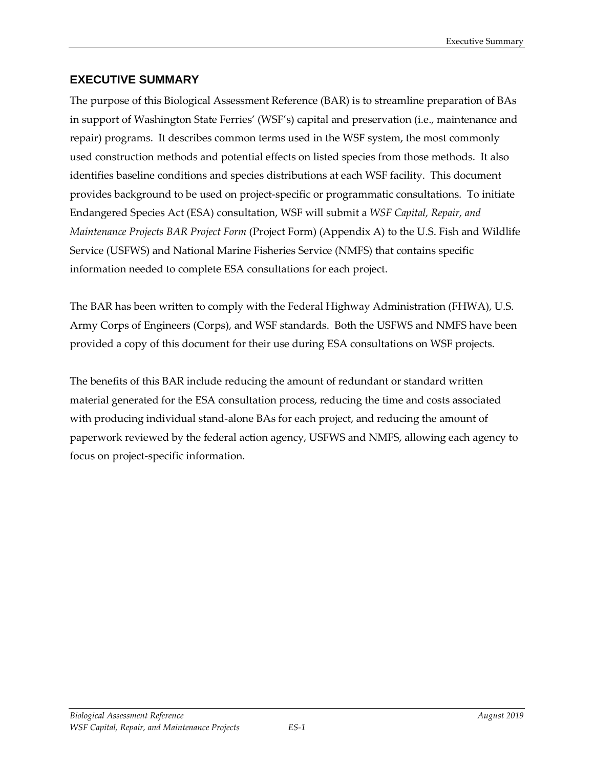### **EXECUTIVE SUMMARY**

The purpose of this Biological Assessment Reference (BAR) is to streamline preparation of BAs in support of Washington State Ferries' (WSF's) capital and preservation (i.e., maintenance and repair) programs. It describes common terms used in the WSF system, the most commonly used construction methods and potential effects on listed species from those methods. It also identifies baseline conditions and species distributions at each WSF facility. This document provides background to be used on project-specific or programmatic consultations. To initiate Endangered Species Act (ESA) consultation, WSF will submit a *WSF Capital, Repair, and Maintenance Projects BAR Project Form* (Project Form) (Appendix A) to the U.S. Fish and Wildlife Service (USFWS) and National Marine Fisheries Service (NMFS) that contains specific information needed to complete ESA consultations for each project.

The BAR has been written to comply with the Federal Highway Administration (FHWA), U.S. Army Corps of Engineers (Corps), and WSF standards. Both the USFWS and NMFS have been provided a copy of this document for their use during ESA consultations on WSF projects.

The benefits of this BAR include reducing the amount of redundant or standard written material generated for the ESA consultation process, reducing the time and costs associated with producing individual stand-alone BAs for each project, and reducing the amount of paperwork reviewed by the federal action agency, USFWS and NMFS, allowing each agency to focus on project-specific information.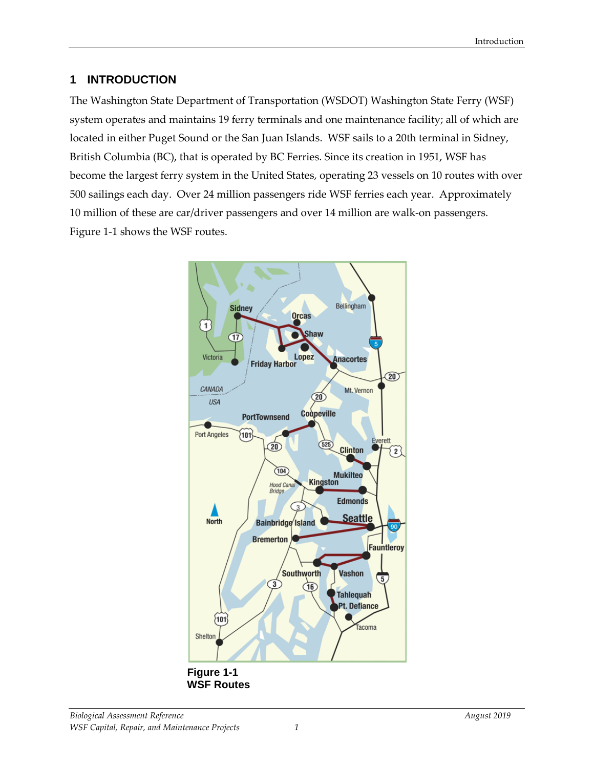# **1 INTRODUCTION**

The Washington State Department of Transportation (WSDOT) Washington State Ferry (WSF) system operates and maintains 19 ferry terminals and one maintenance facility; all of which are located in either Puget Sound or the San Juan Islands. WSF sails to a 20th terminal in Sidney, British Columbia (BC), that is operated by BC Ferries. Since its creation in 1951, WSF has become the largest ferry system in the United States, operating 23 vessels on 10 routes with over 500 sailings each day. Over 24 million passengers ride WSF ferries each year. Approximately 10 million of these are car/driver passengers and over 14 million are walk-on passengers. Figure 1-1 shows the WSF routes.



**WSF Routes**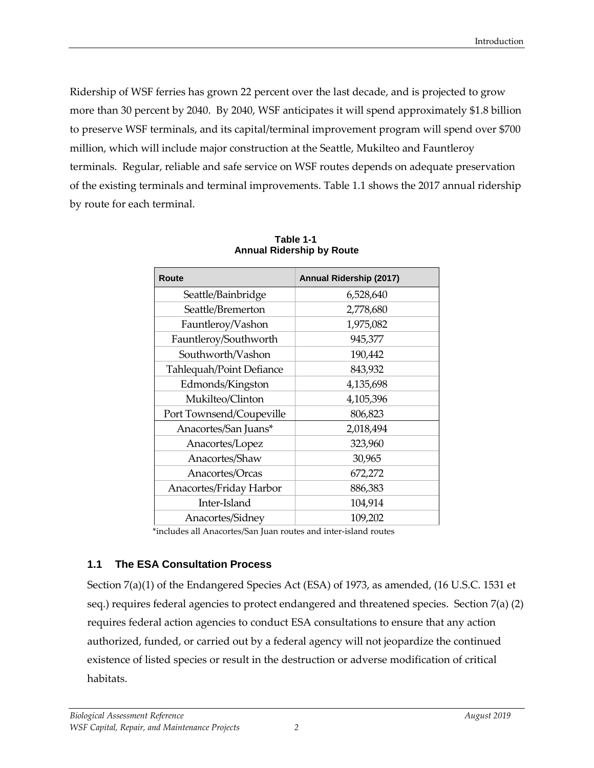Ridership of WSF ferries has grown 22 percent over the last decade, and is projected to grow more than 30 percent by 2040. By 2040, WSF anticipates it will spend approximately \$1.8 billion to preserve WSF terminals, and its capital/terminal improvement program will spend over \$700 million, which will include major construction at the Seattle, Mukilteo and Fauntleroy terminals. Regular, reliable and safe service on WSF routes depends on adequate preservation of the existing terminals and terminal improvements. Table 1.1 shows the 2017 annual ridership by route for each terminal.

| Route                    | Annual Ridership (2017) |
|--------------------------|-------------------------|
| Seattle/Bainbridge       | 6,528,640               |
| Seattle/Bremerton        | 2,778,680               |
| Fauntleroy/Vashon        | 1,975,082               |
| Fauntleroy/Southworth    | 945,377                 |
| Southworth/Vashon        | 190,442                 |
| Tahlequah/Point Defiance | 843,932                 |
| Edmonds/Kingston         | 4,135,698               |
| Mukilteo/Clinton         | 4,105,396               |
| Port Townsend/Coupeville | 806,823                 |
| Anacortes/San Juans*     | 2,018,494               |
| Anacortes/Lopez          | 323,960                 |
| Anacortes/Shaw           | 30,965                  |
| Anacortes/Orcas          | 672,272                 |
| Anacortes/Friday Harbor  | 886,383                 |
| Inter-Island             | 104,914                 |
| Anacortes/Sidney         | 109,202                 |

**Table 1-1 Annual Ridership by Route**

\*includes all Anacortes/San Juan routes and inter-island routes

#### **1.1 The ESA Consultation Process**

Section 7(a)(1) of the Endangered Species Act (ESA) of 1973, as amended, (16 U.S.C. 1531 et seq.) requires federal agencies to protect endangered and threatened species. Section 7(a) (2) requires federal action agencies to conduct ESA consultations to ensure that any action authorized, funded, or carried out by a federal agency will not jeopardize the continued existence of listed species or result in the destruction or adverse modification of critical habitats.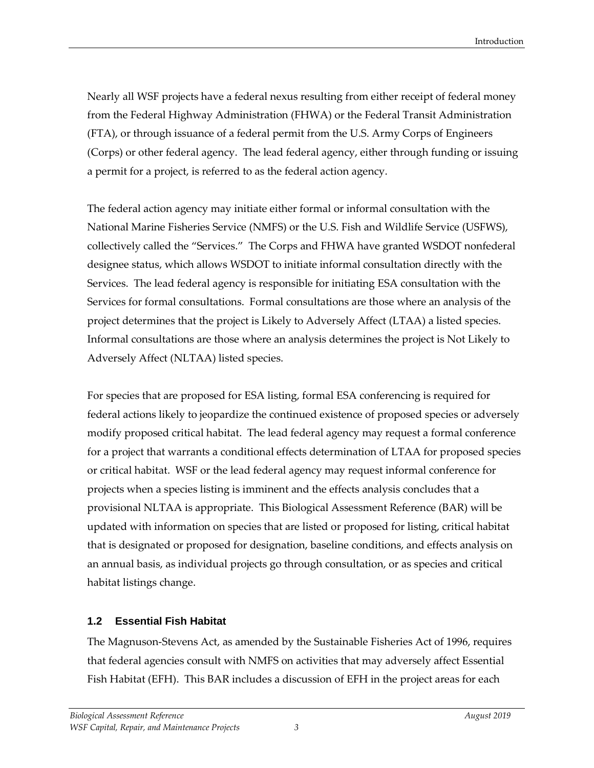Nearly all WSF projects have a federal nexus resulting from either receipt of federal money from the Federal Highway Administration (FHWA) or the Federal Transit Administration (FTA), or through issuance of a federal permit from the U.S. Army Corps of Engineers (Corps) or other federal agency. The lead federal agency, either through funding or issuing a permit for a project, is referred to as the federal action agency.

The federal action agency may initiate either formal or informal consultation with the National Marine Fisheries Service (NMFS) or the U.S. Fish and Wildlife Service (USFWS), collectively called the "Services." The Corps and FHWA have granted WSDOT nonfederal designee status, which allows WSDOT to initiate informal consultation directly with the Services. The lead federal agency is responsible for initiating ESA consultation with the Services for formal consultations. Formal consultations are those where an analysis of the project determines that the project is Likely to Adversely Affect (LTAA) a listed species. Informal consultations are those where an analysis determines the project is Not Likely to Adversely Affect (NLTAA) listed species.

For species that are proposed for ESA listing, formal ESA conferencing is required for federal actions likely to jeopardize the continued existence of proposed species or adversely modify proposed critical habitat. The lead federal agency may request a formal conference for a project that warrants a conditional effects determination of LTAA for proposed species or critical habitat. WSF or the lead federal agency may request informal conference for projects when a species listing is imminent and the effects analysis concludes that a provisional NLTAA is appropriate. This Biological Assessment Reference (BAR) will be updated with information on species that are listed or proposed for listing, critical habitat that is designated or proposed for designation, baseline conditions, and effects analysis on an annual basis, as individual projects go through consultation, or as species and critical habitat listings change.

#### **1.2 Essential Fish Habitat**

The Magnuson-Stevens Act, as amended by the Sustainable Fisheries Act of 1996, requires that federal agencies consult with NMFS on activities that may adversely affect Essential Fish Habitat (EFH). This BAR includes a discussion of EFH in the project areas for each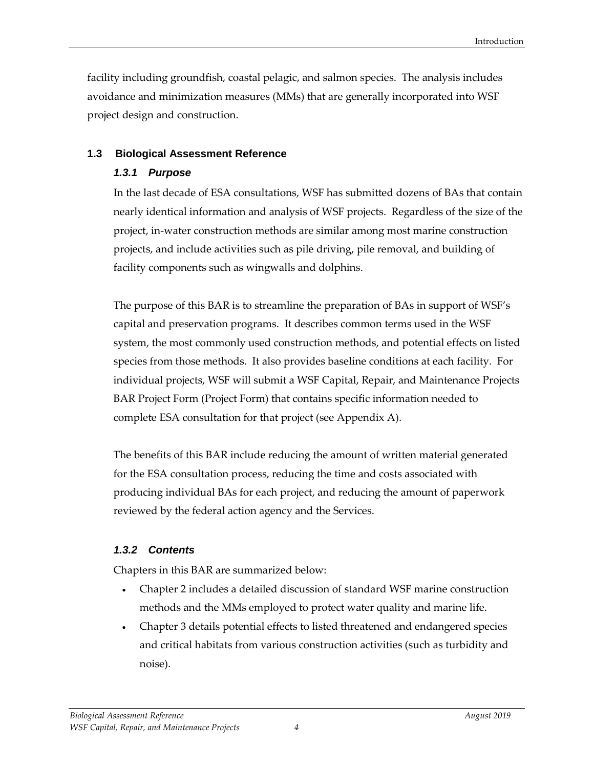facility including groundfish, coastal pelagic, and salmon species. The analysis includes avoidance and minimization measures (MMs) that are generally incorporated into WSF project design and construction.

#### **1.3 Biological Assessment Reference**

#### *1.3.1 Purpose*

In the last decade of ESA consultations, WSF has submitted dozens of BAs that contain nearly identical information and analysis of WSF projects. Regardless of the size of the project, in-water construction methods are similar among most marine construction projects, and include activities such as pile driving, pile removal, and building of facility components such as wingwalls and dolphins.

The purpose of this BAR is to streamline the preparation of BAs in support of WSF's capital and preservation programs. It describes common terms used in the WSF system, the most commonly used construction methods, and potential effects on listed species from those methods. It also provides baseline conditions at each facility. For individual projects, WSF will submit a WSF Capital, Repair, and Maintenance Projects BAR Project Form (Project Form) that contains specific information needed to complete ESA consultation for that project (see Appendix A).

The benefits of this BAR include reducing the amount of written material generated for the ESA consultation process, reducing the time and costs associated with producing individual BAs for each project, and reducing the amount of paperwork reviewed by the federal action agency and the Services.

#### *1.3.2 Contents*

Chapters in this BAR are summarized below:

- Chapter 2 includes a detailed discussion of standard WSF marine construction methods and the MMs employed to protect water quality and marine life.
- Chapter 3 details potential effects to listed threatened and endangered species and critical habitats from various construction activities (such as turbidity and noise).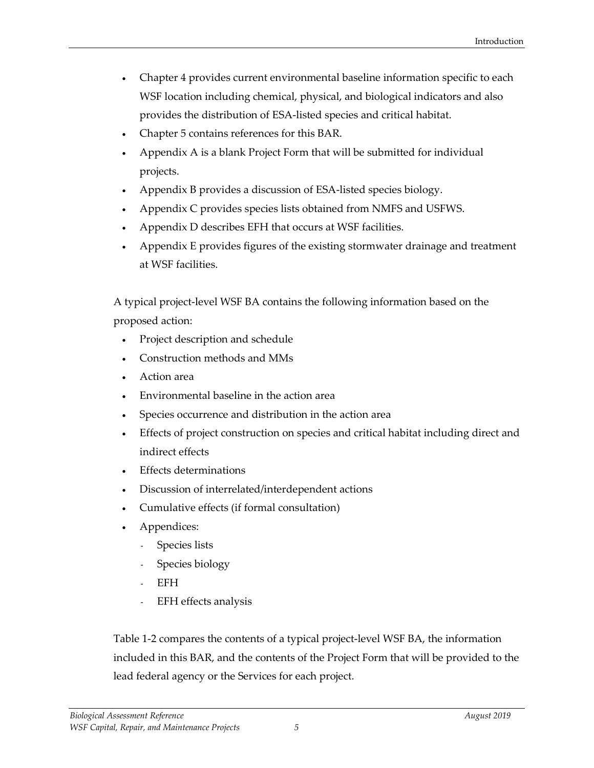- Chapter 4 provides current environmental baseline information specific to each WSF location including chemical, physical, and biological indicators and also provides the distribution of ESA-listed species and critical habitat.
- Chapter 5 contains references for this BAR.
- Appendix A is a blank Project Form that will be submitted for individual projects.
- Appendix B provides a discussion of ESA-listed species biology.
- Appendix C provides species lists obtained from NMFS and USFWS.
- Appendix D describes EFH that occurs at WSF facilities.
- Appendix E provides figures of the existing stormwater drainage and treatment at WSF facilities.

A typical project-level WSF BA contains the following information based on the proposed action:

- Project description and schedule
- Construction methods and MMs
- Action area
- Environmental baseline in the action area
- Species occurrence and distribution in the action area
- Effects of project construction on species and critical habitat including direct and indirect effects
- Effects determinations
- Discussion of interrelated/interdependent actions
- Cumulative effects (if formal consultation)
- Appendices:
	- Species lists
	- Species biology
	- EFH
	- EFH effects analysis

Table 1-2 compares the contents of a typical project-level WSF BA, the information included in this BAR, and the contents of the Project Form that will be provided to the lead federal agency or the Services for each project.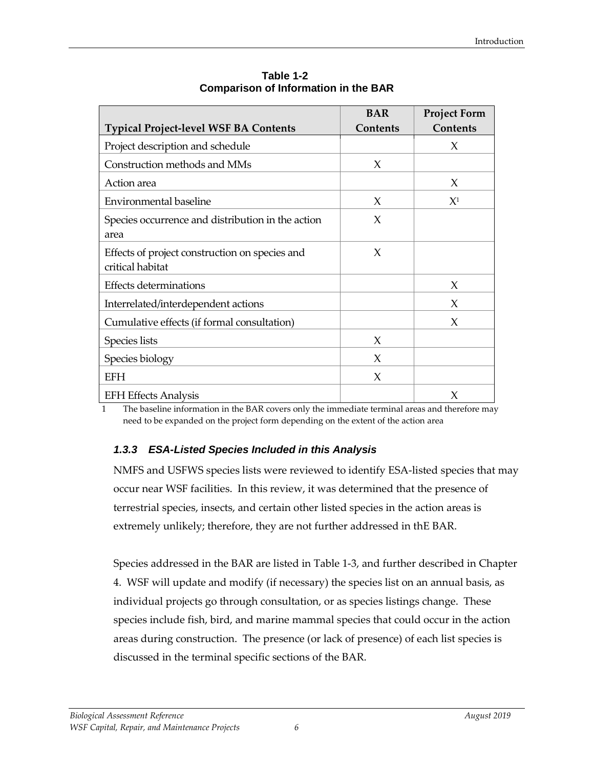|                                                                    | <b>BAR</b> | <b>Project Form</b> |
|--------------------------------------------------------------------|------------|---------------------|
| <b>Typical Project-level WSF BA Contents</b>                       | Contents   | Contents            |
| Project description and schedule                                   |            | X                   |
| Construction methods and MMs                                       | X          |                     |
| Action area                                                        |            | X                   |
| Environmental baseline                                             | X          | $X^1$               |
| Species occurrence and distribution in the action                  | X          |                     |
| area                                                               |            |                     |
| Effects of project construction on species and<br>critical habitat | $\chi$     |                     |
| <b>Effects determinations</b>                                      |            | X                   |
| Interrelated/interdependent actions                                |            | X                   |
| Cumulative effects (if formal consultation)                        |            | X                   |
| Species lists                                                      | $\chi$     |                     |
| Species biology                                                    | X          |                     |
| <b>EFH</b>                                                         | X          |                     |
| <b>EFH Effects Analysis</b>                                        |            | X                   |

**Table 1-2 Comparison of Information in the BAR**

1 The baseline information in the BAR covers only the immediate terminal areas and therefore may need to be expanded on the project form depending on the extent of the action area

# *1.3.3 ESA-Listed Species Included in this Analysis*

NMFS and USFWS species lists were reviewed to identify ESA-listed species that may occur near WSF facilities. In this review, it was determined that the presence of terrestrial species, insects, and certain other listed species in the action areas is extremely unlikely; therefore, they are not further addressed in thE BAR.

Species addressed in the BAR are listed in Table 1-3, and further described in Chapter 4. WSF will update and modify (if necessary) the species list on an annual basis, as individual projects go through consultation, or as species listings change. These species include fish, bird, and marine mammal species that could occur in the action areas during construction. The presence (or lack of presence) of each list species is discussed in the terminal specific sections of the BAR.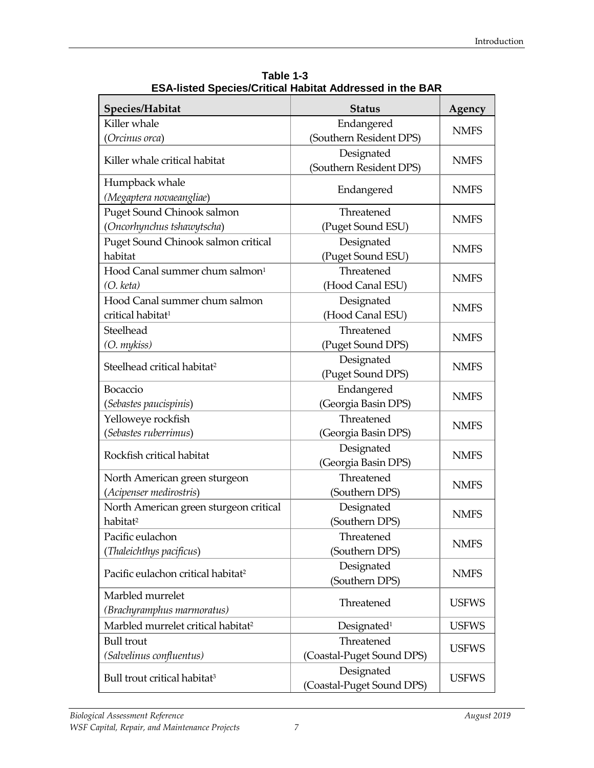| Species/Habitat                                | <b>Status</b>                         | Agency       |  |
|------------------------------------------------|---------------------------------------|--------------|--|
| Killer whale                                   | Endangered                            | <b>NMFS</b>  |  |
| (Orcinus orca)                                 | (Southern Resident DPS)               |              |  |
| Killer whale critical habitat                  | Designated<br>(Southern Resident DPS) | <b>NMFS</b>  |  |
| Humpback whale                                 |                                       |              |  |
| (Megaptera novaeangliae)                       | Endangered                            | <b>NMFS</b>  |  |
| Puget Sound Chinook salmon                     | Threatened                            |              |  |
| (Oncorhynchus tshawytscha)                     | (Puget Sound ESU)                     | <b>NMFS</b>  |  |
| Puget Sound Chinook salmon critical<br>habitat | Designated<br>(Puget Sound ESU)       | <b>NMFS</b>  |  |
| Hood Canal summer chum salmon <sup>1</sup>     | Threatened                            |              |  |
| (O. keta)                                      | (Hood Canal ESU)                      | <b>NMFS</b>  |  |
| Hood Canal summer chum salmon                  | Designated                            |              |  |
| critical habitat <sup>1</sup>                  | (Hood Canal ESU)                      | <b>NMFS</b>  |  |
| Steelhead                                      | Threatened                            |              |  |
| (O. mykiss)                                    | (Puget Sound DPS)                     | <b>NMFS</b>  |  |
|                                                | Designated                            | <b>NMFS</b>  |  |
| Steelhead critical habitat <sup>2</sup>        | (Puget Sound DPS)                     |              |  |
| Bocaccio                                       | Endangered                            | <b>NMFS</b>  |  |
| (Sebastes paucispinis)                         | (Georgia Basin DPS)                   |              |  |
| Yelloweye rockfish                             | Threatened                            |              |  |
| (Sebastes ruberrimus)                          | (Georgia Basin DPS)                   | <b>NMFS</b>  |  |
|                                                | Designated                            | <b>NMFS</b>  |  |
| Rockfish critical habitat                      | (Georgia Basin DPS)                   |              |  |
| North American green sturgeon                  | Threatened                            | <b>NMFS</b>  |  |
| (Acipenser medirostris)                        | (Southern DPS)                        |              |  |
| North American green sturgeon critical         | Designated                            |              |  |
| habitat <sup>2</sup>                           | (Southern DPS)                        | <b>NMFS</b>  |  |
| Pacific eulachon                               | Threatened                            | <b>NMFS</b>  |  |
| (Thaleichthys pacificus)                       | (Southern DPS)                        |              |  |
| Pacific eulachon critical habitat <sup>2</sup> | Designated<br>(Southern DPS)          | <b>NMFS</b>  |  |
| Marbled murrelet                               |                                       | <b>USFWS</b> |  |
| (Brachyramphus marmoratus)                     | Threatened                            |              |  |
| Marbled murrelet critical habitat <sup>2</sup> | Designated <sup>1</sup>               | <b>USFWS</b> |  |
| <b>Bull</b> trout                              | Threatened                            |              |  |
| (Salvelinus confluentus)                       | (Coastal-Puget Sound DPS)             | <b>USFWS</b> |  |
| Bull trout critical habitat <sup>3</sup>       | Designated                            | <b>USFWS</b> |  |
|                                                | (Coastal-Puget Sound DPS)             |              |  |

**Table 1-3 ESA-listed Species/Critical Habitat Addressed in the BAR**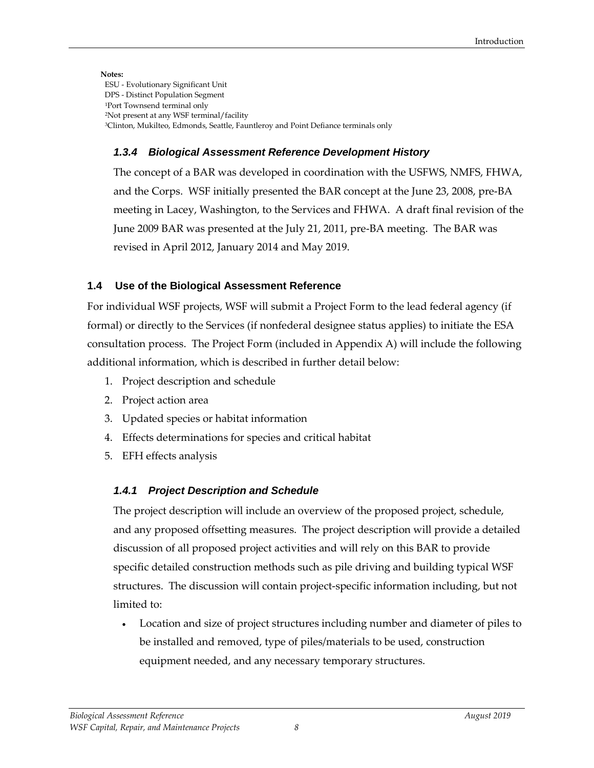**Notes:** ESU - Evolutionary Significant Unit DPS - Distinct Population Segment 1Port Townsend terminal only 2Not present at any WSF terminal/facility 3Clinton, Mukilteo, Edmonds, Seattle, Fauntleroy and Point Defiance terminals only

### *1.3.4 Biological Assessment Reference Development History*

The concept of a BAR was developed in coordination with the USFWS, NMFS, FHWA, and the Corps. WSF initially presented the BAR concept at the June 23, 2008, pre-BA meeting in Lacey, Washington, to the Services and FHWA. A draft final revision of the June 2009 BAR was presented at the July 21, 2011, pre-BA meeting. The BAR was revised in April 2012, January 2014 and May 2019.

# **1.4 Use of the Biological Assessment Reference**

For individual WSF projects, WSF will submit a Project Form to the lead federal agency (if formal) or directly to the Services (if nonfederal designee status applies) to initiate the ESA consultation process. The Project Form (included in Appendix A) will include the following additional information, which is described in further detail below:

- 1. Project description and schedule
- 2. Project action area
- 3. Updated species or habitat information
- 4. Effects determinations for species and critical habitat
- 5. EFH effects analysis

# *1.4.1 Project Description and Schedule*

The project description will include an overview of the proposed project, schedule, and any proposed offsetting measures. The project description will provide a detailed discussion of all proposed project activities and will rely on this BAR to provide specific detailed construction methods such as pile driving and building typical WSF structures. The discussion will contain project-specific information including, but not limited to:

• Location and size of project structures including number and diameter of piles to be installed and removed, type of piles/materials to be used, construction equipment needed, and any necessary temporary structures.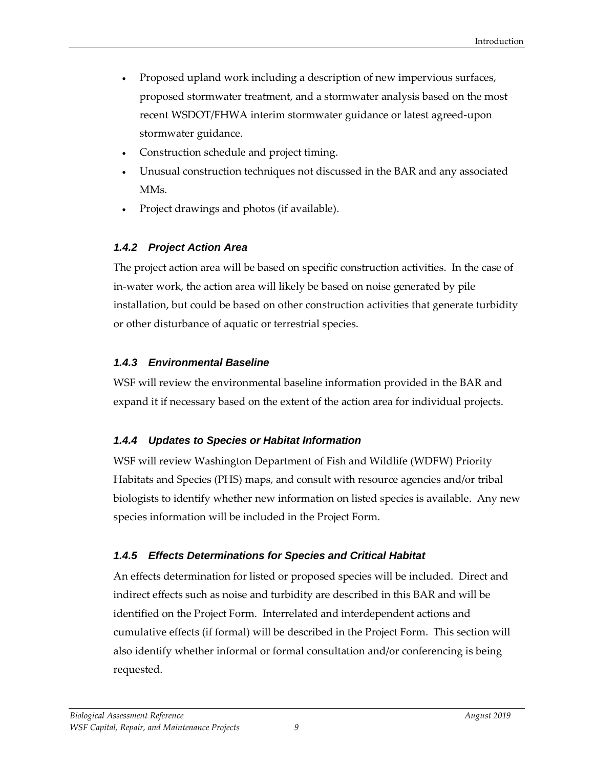- Proposed upland work including a description of new impervious surfaces, proposed stormwater treatment, and a stormwater analysis based on the most recent WSDOT/FHWA interim stormwater guidance or latest agreed-upon stormwater guidance.
- Construction schedule and project timing.
- Unusual construction techniques not discussed in the BAR and any associated MMs.
- Project drawings and photos (if available).

### *1.4.2 Project Action Area*

The project action area will be based on specific construction activities. In the case of in-water work, the action area will likely be based on noise generated by pile installation, but could be based on other construction activities that generate turbidity or other disturbance of aquatic or terrestrial species.

### *1.4.3 Environmental Baseline*

WSF will review the environmental baseline information provided in the BAR and expand it if necessary based on the extent of the action area for individual projects.

# *1.4.4 Updates to Species or Habitat Information*

WSF will review Washington Department of Fish and Wildlife (WDFW) Priority Habitats and Species (PHS) maps, and consult with resource agencies and/or tribal biologists to identify whether new information on listed species is available. Any new species information will be included in the Project Form.

# *1.4.5 Effects Determinations for Species and Critical Habitat*

An effects determination for listed or proposed species will be included. Direct and indirect effects such as noise and turbidity are described in this BAR and will be identified on the Project Form. Interrelated and interdependent actions and cumulative effects (if formal) will be described in the Project Form. This section will also identify whether informal or formal consultation and/or conferencing is being requested.